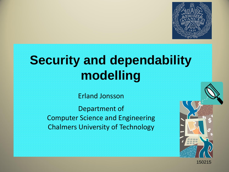

# **Security and dependability modelling**

Erland Jonsson

Department of Computer Science and Engineering Chalmers University of Technology



150215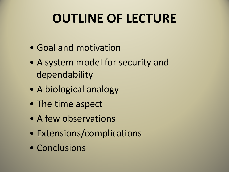# **OUTLINE OF LECTURE**

- Goal and motivation
- A system model for security and dependability
- A biological analogy
- The time aspect
- A few observations
- Extensions/complications
- Conclusions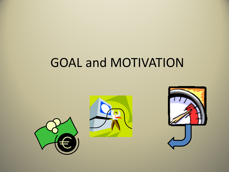# GOAL and MOTIVATION

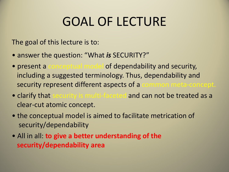# GOAL OF LECTURE

The goal of this lecture is to:

- answer the question: "What *is* SECURITY?"
- present a conceptual model of dependability and security, including a suggested terminology. Thus, dependability and security represent different aspects of a common meta-concept.
- clarify that security is multi-faceted and can not be treated as a clear-cut atomic concept.
- the conceptual model is aimed to facilitate metrication of security/dependability
- All in all: **to give a better understanding of the security/dependability area**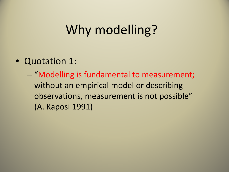## Why modelling?

- Quotation 1:
	- "Modelling is fundamental to measurement; without an empirical model or describing observations, measurement is not possible" (A. Kaposi 1991)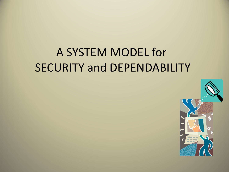#### A SYSTEM MODEL for SECURITY and DEPENDABILITY

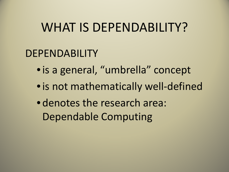#### WHAT IS DEPENDABILITY?

#### DEPENDABILITY

- is a general, "umbrella" concept
- •is not mathematically well-defined
- denotes the research area: Dependable Computing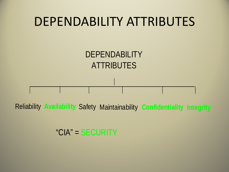

**Reliability Availability Safety Maintainability Confidentiality Integrity** 

"CIA" = SECURITY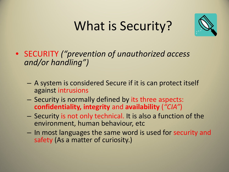# What is Security?



- SECURITY *("prevention of unauthorized access and/or handling")* 
	- A system is considered Secure if it is can protect itself against intrusions
	- Security is normally defined by its three aspects: **confidentiality, integrity** and **availability** (*"CIA"*)
	- Security is not only technical. It is also a function of the environment, human behaviour, etc
	- In most languages the same word is used for security and safety (As a matter of curiosity.)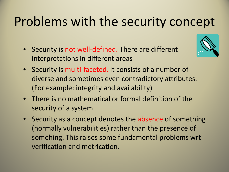### Problems with the security concept

• Security is not well-defined. There are different interpretations in different areas



- Security is multi-faceted. It consists of a number of diverse and sometimes even contradictory attributes. (For example: integrity and availability)
- There is no mathematical or formal definition of the security of a system.
- Security as a concept denotes the absence of something (normally vulnerabilities) rather than the presence of somehing. This raises some fundamental problems wrt verification and metrication.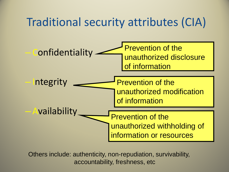#### Traditional security attributes (CIA)



Others include: authenticity, non-repudiation, survivability, accountability, freshness, etc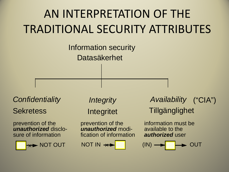# AN INTERPRETATION OF THE TRADITIONAL SECURITY ATTRIBUTES

Datasäkerhet Information security

*Confidentiality <i>Integrity* 

prevention of the prevention of the *unauthorized* disclo-



*unauthorized* modification of information

NOT OUT NOT IN 
$$
\overrightarrow{\leftarrow}
$$
 (IN)

Sekretess Integritet Tillgänglighet Availability ("CIA")

> information must be available to the *authorized* user

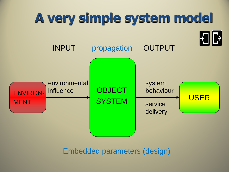

Embedded parameters (design)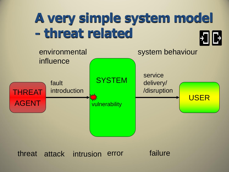#### **A very simple system model - threat related**  $\blacktriangleright$



attack intrusion error failure threat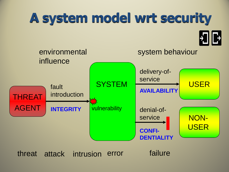# **A system model wrt security**

 $\mathbf{H}$ 



threat attack intrusion error failure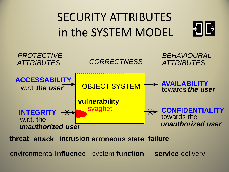# SECURITY ATTRIBUTES in the SYSTEM MODEL

 $\mathbf{H}$ 



**intreat attack intrusion erroneous state failure** 

environmental **influence** system **function service** delivery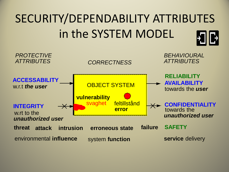# SECURITY/DEPENDABILITY ATTRIBUTES in the SYSTEM MODEL

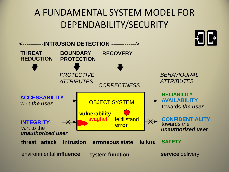#### A FUNDAMENTAL SYSTEM MODEL FOR DEPENDABILITY/SECURITY

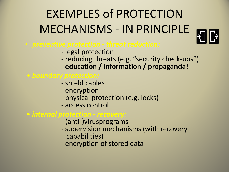# EXEMPLES of PROTECTION MECHANISMS - IN PRINCIPLE



### • *preventive protection - threat reduction:* - legal protection

- 
- reducing threats (e.g. "security check-ups") **education / information / propaganda!**
- 
- *boundary protection:* shield cables
	-
	- encryption
	- physical protection (e.g. locks)
	- access control

- 
- *internal protection recovery:*<br>- (anti-)virusprograms<br>- supervision mechanisms (with recovery<br>capabilities)
	- encryption of stored data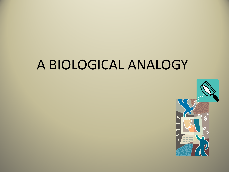#### A BIOLOGICAL ANALOGY

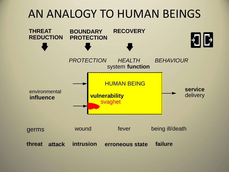#### AN ANALOGY TO HUMAN BEINGS

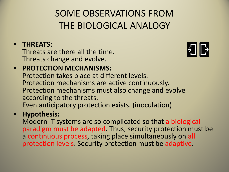#### SOME OBSERVATIONS FROM THE BIOLOGICAL ANALOGY

#### • **THREATS:**

Threats are there all the time. Threats change and evolve.



#### • **PROTECTION MECHANISMS:**  Protection takes place at different levels. Protection mechanisms are active continuously. Protection mechanisms must also change and evolve according to the threats. Even anticipatory protection exists. (inoculation)

#### • **Hypothesis:**

Modern IT systems are so complicated so that a biological paradigm must be adapted. Thus, security protection must be a continuous process, taking place simultaneously on all protection levels. Security protection must be adaptive.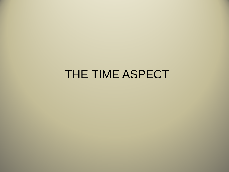#### THE TIME ASPECT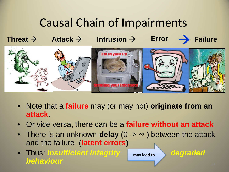#### Causal Chain of Impairments

**Threat**  $\rightarrow$  **Attack**  $\rightarrow$  **Intrusion**  $\rightarrow$  **Error**  $\rightarrow$  **Failure** 



- Note that a **failure** may (or may not) **originate from an attack**.
- Or vice versa, there can be a **failure without an attack**
- There is an unknown **delay** (0 -> ∞ ) between the attack and the failure (**latent errors)**
- Thus: *Insufficient integrity* may lead to be degraded *behaviour*

**may lead to**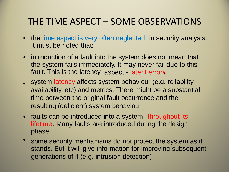#### THE TIME ASPECT – SOME OBSERVATIONS

- the time aspect is very often neglected in security analysis. It must be noted that:
- introduction of a fault into the system does not mean that the system fails immediately. It may never fail due to this fault. This is the latency aspect latent errors.
- system latency affects system behaviour (e.g. reliability, availability, etc) and metrics. There might be a substantial time between the original fault occurrence and the resulting (deficient) system behaviour.
- faults can be introduced into a system throughout its lifetime. Many faults are introduced during the design phase.
- some security mechanisms do not protect the system as it stands. But it will give information for improving subsequent generations of it (e.g. intrusion detection)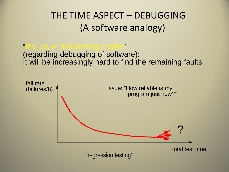#### THE TIME ASPECT – DEBUGGING (A software analogy)

"the law of diminishing results" It will be increasingly hard to find the remaining faults (regarding debugging of software):

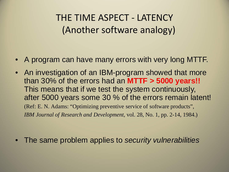#### THE TIME ASPECT - LATENCY (Another software analogy)

- A program can have many errors with very long MTTF.
- An investigation of an IBM-program showed that more than 30% of the errors had an **MTTF > 5000 years!!**  This means that if we test the system continuously, after 5000 years some 30 % of the errors remain latent! (Ref: E. N. Adams: "Optimizing preventive service of software products", *IBM Journal of Research and Development,* vol. 28, No. 1, pp. 2-14, 1984.)

• The same problem applies to *security vulnerabilities*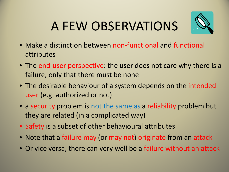# A FEW OBSERVATIONS



- Make a distinction between non-functional and functional attributes
- The end-user perspective: the user does not care why there is a failure, only that there must be none
- The desirable behaviour of a system depends on the intended user (e.g. authorized or not)
- a security problem is not the same as a reliability problem but they are related (in a complicated way)
- Safety is a subset of other behavioural attributes
- Note that a failure may (or may not) originate from an attack
- Or vice versa, there can very well be a failure without an attack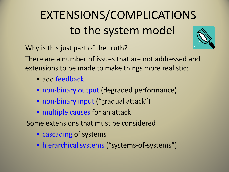# EXTENSIONS/COMPLICATIONS to the system model

Why is this just part of the truth?



There are a number of issues that are not addressed and extensions to be made to make things more realistic:

- add feedback
- non-binary output (degraded performance)
- non-binary input ("gradual attack")
- multiple causes for an attack

Some extensions that must be considered

- cascading of systems
- hierarchical systems ("systems-of-systems")